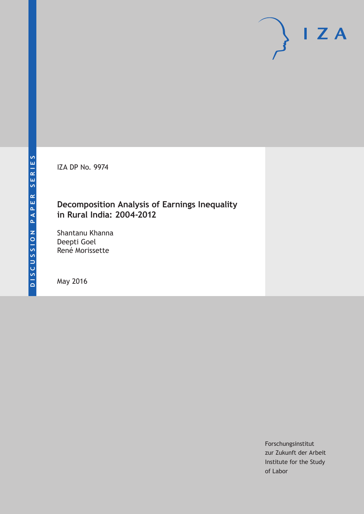IZA DP No. 9974

## **Decomposition Analysis of Earnings Inequality in Rural India: 2004-2012**

Shantanu Khanna Deepti Goel René Morissette

May 2016

Forschungsinstitut zur Zukunft der Arbeit Institute for the Study of Labor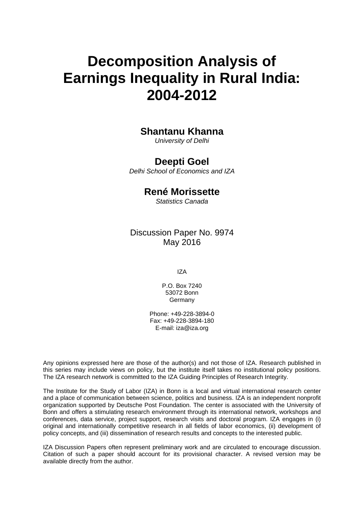# **Decomposition Analysis of Earnings Inequality in Rural India: 2004-2012**

# **Shantanu Khanna**

*University of Delhi* 

### **Deepti Goel**

*Delhi School of Economics and IZA* 

## **René Morissette**

*Statistics Canada* 

Discussion Paper No. 9974 May 2016

IZA

P.O. Box 7240 53072 Bonn **Germany** 

Phone: +49-228-3894-0 Fax: +49-228-3894-180 E-mail: iza@iza.org

Any opinions expressed here are those of the author(s) and not those of IZA. Research published in this series may include views on policy, but the institute itself takes no institutional policy positions. The IZA research network is committed to the IZA Guiding Principles of Research Integrity.

The Institute for the Study of Labor (IZA) in Bonn is a local and virtual international research center and a place of communication between science, politics and business. IZA is an independent nonprofit organization supported by Deutsche Post Foundation. The center is associated with the University of Bonn and offers a stimulating research environment through its international network, workshops and conferences, data service, project support, research visits and doctoral program. IZA engages in (i) original and internationally competitive research in all fields of labor economics, (ii) development of policy concepts, and (iii) dissemination of research results and concepts to the interested public.

IZA Discussion Papers often represent preliminary work and are circulated to encourage discussion. Citation of such a paper should account for its provisional character. A revised version may be available directly from the author.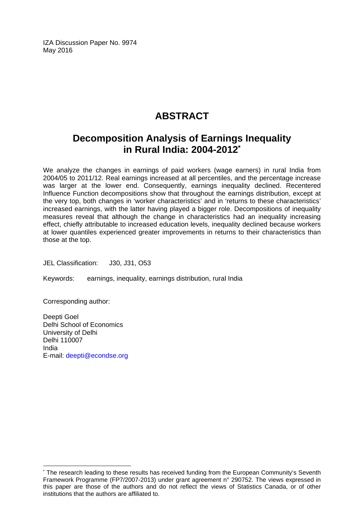IZA Discussion Paper No. 9974 May 2016

# **ABSTRACT**

# **Decomposition Analysis of Earnings Inequality in Rural India: 2004-2012\***

We analyze the changes in earnings of paid workers (wage earners) in rural India from 2004/05 to 2011/12. Real earnings increased at all percentiles, and the percentage increase was larger at the lower end. Consequently, earnings inequality declined. Recentered Influence Function decompositions show that throughout the earnings distribution, except at the very top, both changes in 'worker characteristics' and in 'returns to these characteristics' increased earnings, with the latter having played a bigger role. Decompositions of inequality measures reveal that although the change in characteristics had an inequality increasing effect, chiefly attributable to increased education levels, inequality declined because workers at lower quantiles experienced greater improvements in returns to their characteristics than those at the top.

JEL Classification: J30, J31, O53

Keywords: earnings, inequality, earnings distribution, rural India

Corresponding author:

 $\overline{\phantom{a}}$ 

Deepti Goel Delhi School of Economics University of Delhi Delhi 110007 India E-mail: deepti@econdse.org

<sup>\*</sup> The research leading to these results has received funding from the European Community's Seventh Framework Programme (FP7/2007-2013) under grant agreement n° 290752. The views expressed in this paper are those of the authors and do not reflect the views of Statistics Canada, or of other institutions that the authors are affiliated to.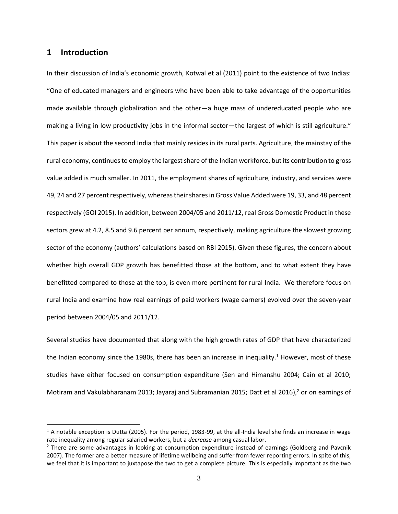#### **1 Introduction**

 $\overline{a}$ 

In their discussion of India's economic growth, Kotwal et al (2011) point to the existence of two Indias: "One of educated managers and engineers who have been able to take advantage of the opportunities made available through globalization and the other—a huge mass of undereducated people who are making a living in low productivity jobs in the informal sector—the largest of which is still agriculture." This paper is about the second India that mainly resides in its rural parts. Agriculture, the mainstay of the rural economy, continues to employ the largest share of the Indian workforce, but its contribution to gross value added is much smaller. In 2011, the employment shares of agriculture, industry, and services were 49, 24 and 27 percent respectively, whereas their shares in Gross Value Added were 19, 33, and 48 percent respectively (GOI 2015). In addition, between 2004/05 and 2011/12, real Gross Domestic Product in these sectors grew at 4.2, 8.5 and 9.6 percent per annum, respectively, making agriculture the slowest growing sector of the economy (authors' calculations based on RBI 2015). Given these figures, the concern about whether high overall GDP growth has benefitted those at the bottom, and to what extent they have benefitted compared to those at the top, is even more pertinent for rural India. We therefore focus on rural India and examine how real earnings of paid workers (wage earners) evolved over the seven-year period between 2004/05 and 2011/12.

Several studies have documented that along with the high growth rates of GDP that have characterized the Indian economy since the 1980s, there has been an increase in inequality.<sup>1</sup> However, most of these studies have either focused on consumption expenditure (Sen and Himanshu 2004; Cain et al 2010; Motiram and Vakulabharanam 2013; Jayaraj and Subramanian 2015; Datt et al 2016), <sup>2</sup> or on earnings of

 $1$  A notable exception is Dutta (2005). For the period, 1983-99, at the all-India level she finds an increase in wage rate inequality among regular salaried workers, but a *decrease* among casual labor.

<sup>&</sup>lt;sup>2</sup> There are some advantages in looking at consumption expenditure instead of earnings (Goldberg and Pavcnik 2007). The former are a better measure of lifetime wellbeing and suffer from fewer reporting errors. In spite of this, we feel that it is important to juxtapose the two to get a complete picture. This is especially important as the two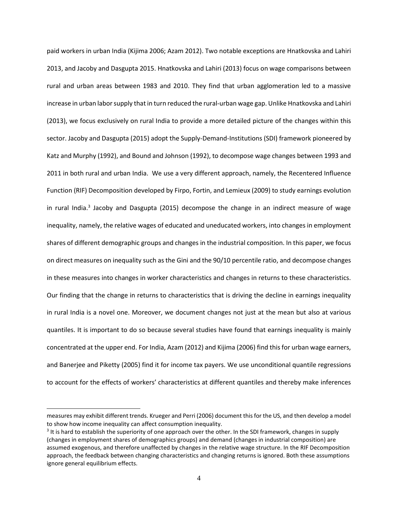paid workers in urban India (Kijima 2006; Azam 2012). Two notable exceptions are Hnatkovska and Lahiri 2013, and Jacoby and Dasgupta 2015. Hnatkovska and Lahiri (2013) focus on wage comparisons between rural and urban areas between 1983 and 2010. They find that urban agglomeration led to a massive increase in urban labor supply that in turn reduced the rural-urban wage gap. Unlike Hnatkovska and Lahiri (2013), we focus exclusively on rural India to provide a more detailed picture of the changes within this sector. Jacoby and Dasgupta (2015) adopt the Supply-Demand-Institutions (SDI) framework pioneered by Katz and Murphy (1992), and Bound and Johnson (1992), to decompose wage changes between 1993 and 2011 in both rural and urban India. We use a very different approach, namely, the Recentered Influence Function (RIF) Decomposition developed by Firpo, Fortin, and Lemieux (2009) to study earnings evolution in rural India.<sup>3</sup> Jacoby and Dasgupta (2015) decompose the change in an indirect measure of wage inequality, namely, the relative wages of educated and uneducated workers, into changes in employment shares of different demographic groups and changes in the industrial composition. In this paper, we focus on direct measures on inequality such as the Gini and the 90/10 percentile ratio, and decompose changes in these measures into changes in worker characteristics and changes in returns to these characteristics. Our finding that the change in returns to characteristics that is driving the decline in earnings inequality in rural India is a novel one. Moreover, we document changes not just at the mean but also at various quantiles. It is important to do so because several studies have found that earnings inequality is mainly concentrated at the upper end. For India, Azam (2012) and Kijima (2006) find this for urban wage earners, and Banerjee and Piketty (2005) find it for income tax payers. We use unconditional quantile regressions to account for the effects of workers' characteristics at different quantiles and thereby make inferences

l

measures may exhibit different trends. Krueger and Perri (2006) document this for the US, and then develop a model to show how income inequality can affect consumption inequality.

 $3$  It is hard to establish the superiority of one approach over the other. In the SDI framework, changes in supply (changes in employment shares of demographics groups) and demand (changes in industrial composition) are assumed exogenous, and therefore unaffected by changes in the relative wage structure. In the RIF Decomposition approach, the feedback between changing characteristics and changing returns is ignored. Both these assumptions ignore general equilibrium effects.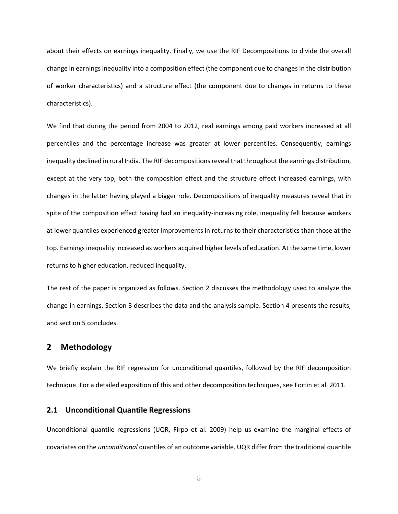about their effects on earnings inequality. Finally, we use the RIF Decompositions to divide the overall change in earnings inequality into a composition effect (the component due to changes in the distribution of worker characteristics) and a structure effect (the component due to changes in returns to these characteristics).

We find that during the period from 2004 to 2012, real earnings among paid workers increased at all percentiles and the percentage increase was greater at lower percentiles. Consequently, earnings inequality declined in rural India. The RIF decompositions reveal that throughout the earnings distribution, except at the very top, both the composition effect and the structure effect increased earnings, with changes in the latter having played a bigger role. Decompositions of inequality measures reveal that in spite of the composition effect having had an inequality-increasing role, inequality fell because workers at lower quantiles experienced greater improvements in returns to their characteristics than those at the top. Earnings inequality increased as workers acquired higher levels of education. At the same time, lower returns to higher education, reduced inequality.

The rest of the paper is organized as follows. Section 2 discusses the methodology used to analyze the change in earnings. Section 3 describes the data and the analysis sample. Section 4 presents the results, and section 5 concludes.

#### **2 Methodology**

We briefly explain the RIF regression for unconditional quantiles, followed by the RIF decomposition technique. For a detailed exposition of this and other decomposition techniques, see Fortin et al. 2011.

#### **2.1 Unconditional Quantile Regressions**

Unconditional quantile regressions (UQR, Firpo et al. 2009) help us examine the marginal effects of covariates on the *unconditional* quantiles of an outcome variable. UQR differ from the traditional quantile

5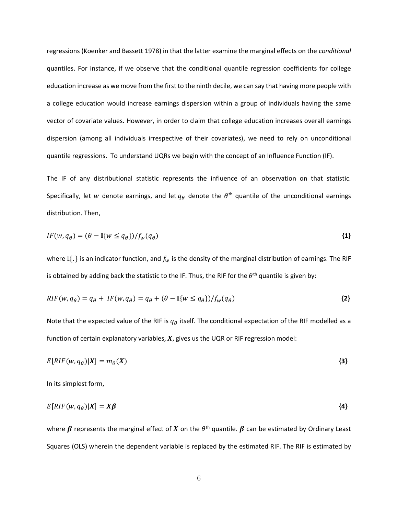regressions (Koenker and Bassett 1978) in that the latter examine the marginal effects on the *conditional* quantiles. For instance, if we observe that the conditional quantile regression coefficients for college education increase as we move from the first to the ninth decile, we can say that having more people with a college education would increase earnings dispersion within a group of individuals having the same vector of covariate values. However, in order to claim that college education increases overall earnings dispersion (among all individuals irrespective of their covariates), we need to rely on unconditional quantile regressions. To understand UQRs we begin with the concept of an Influence Function (IF).

The IF of any distributional statistic represents the influence of an observation on that statistic. Specifically, let  $w$  denote earnings, and let  $q_\theta$  denote the  $\theta^\text{th}$  quantile of the unconditional earnings distribution. Then,

$$
IF(w, q_{\theta}) = (\theta - \mathbb{I}\{w \leq q_{\theta}\})/f_{w}(q_{\theta})
$$
\n<sup>{1}</sup>

where I $\{\cdot\}$  is an indicator function, and  $f_w$  is the density of the marginal distribution of earnings. The RIF is obtained by adding back the statistic to the IF. Thus, the RIF for the  $\theta^{\text{th}}$  quantile is given by:

$$
RIF(w, q_{\theta}) = q_{\theta} + IF(w, q_{\theta}) = q_{\theta} + (\theta - \mathbb{I}\{w \leq q_{\theta}\})/f_{w}(q_{\theta})
$$
\n
$$
\{2\}
$$

Note that the expected value of the RIF is  $q_{\theta}$  itself. The conditional expectation of the RIF modelled as a function of certain explanatory variables,  $X$ , gives us the UQR or RIF regression model:

$$
E[RIF(w, q_{\theta})|X] = m_{\theta}(X) \tag{3}
$$

In its simplest form,

$$
E[RIF(w, q_{\theta})|X] = X\beta
$$
 (4)

where  $\beta$  represents the marginal effect of  $X$  on the  $\theta^{\text{th}}$  quantile.  $\beta$  can be estimated by Ordinary Least Squares (OLS) wherein the dependent variable is replaced by the estimated RIF. The RIF is estimated by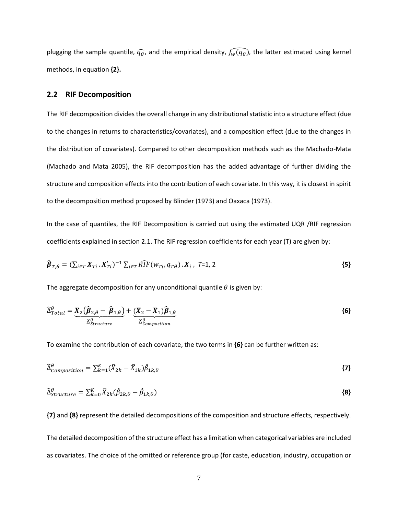plugging the sample quantile,  $\widehat{q_{\theta}}$ , and the empirical density,  $\widehat{f_w(q_{\theta})}$ , the latter estimated using kernel methods, in equation **{2}.** 

#### **2.2 RIF Decomposition**

The RIF decomposition divides the overall change in any distributional statistic into a structure effect (due to the changes in returns to characteristics/covariates), and a composition effect (due to the changes in the distribution of covariates). Compared to other decomposition methods such as the Machado-Mata (Machado and Mata 2005), the RIF decomposition has the added advantage of further dividing the structure and composition effects into the contribution of each covariate. In this way, it is closest in spirit to the decomposition method proposed by Blinder (1973) and Oaxaca (1973).

In the case of quantiles, the RIF Decomposition is carried out using the estimated UQR /RIF regression coefficients explained in section 2.1. The RIF regression coefficients for each year (T) are given by:

$$
\widehat{\boldsymbol{\beta}}_{T,\theta} = (\sum_{i \in T} \boldsymbol{X}_{Ti} \cdot \boldsymbol{X}_{Ti}')^{-1} \sum_{i \in T} \widehat{RIF}(w_{Ti}, q_{T\theta}) \cdot \boldsymbol{X}_i, T=1, 2
$$
\n
$$
\{5\}
$$

The aggregate decomposition for any unconditional quantile  $\theta$  is given by:

$$
\widehat{\Delta}_{Total}^{\theta} = \underbrace{\overline{X}_{2} (\widehat{\beta}_{2,\theta} - \widehat{\beta}_{1,\theta})}_{\widehat{\Delta}_{Structure}^{\theta}} + \underbrace{(\overline{X}_{2} - \overline{X}_{1}) \widehat{\beta}_{1,\theta}}_{\widehat{\Delta}_{Composition}^{\theta}}
$$
\n(6)

To examine the contribution of each covariate, the two terms in **{6}** can be further written as:

$$
\widehat{\Delta}_{Composition}^{\theta} = \sum_{k=1}^{K} (\bar{X}_{2k} - \bar{X}_{1k}) \widehat{\beta}_{1k,\theta} \tag{7}
$$

$$
\widehat{\Delta}_{Structure}^{\theta} = \sum_{k=0}^{K} \bar{X}_{2k} (\widehat{\beta}_{2k,\theta} - \widehat{\beta}_{1k,\theta})
$$
\n
$$
\tag{8}
$$

**{7}** and **{8}** represent the detailed decompositions of the composition and structure effects, respectively. The detailed decomposition of the structure effect has a limitation when categorical variables are included as covariates. The choice of the omitted or reference group (for caste, education, industry, occupation or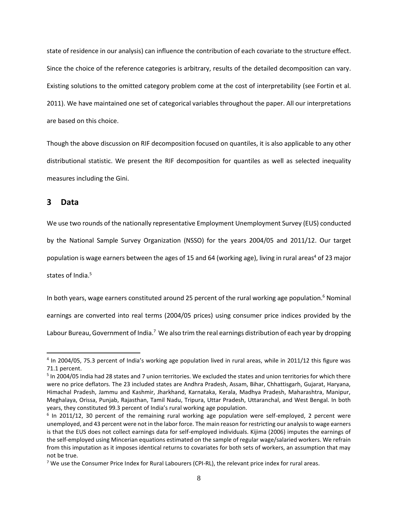state of residence in our analysis) can influence the contribution of each covariate to the structure effect. Since the choice of the reference categories is arbitrary, results of the detailed decomposition can vary. Existing solutions to the omitted category problem come at the cost of interpretability (see Fortin et al. 2011). We have maintained one set of categorical variables throughout the paper. All our interpretations are based on this choice.

Though the above discussion on RIF decomposition focused on quantiles, it is also applicable to any other distributional statistic. We present the RIF decomposition for quantiles as well as selected inequality measures including the Gini.

#### **3 Data**

l

We use two rounds of the nationally representative Employment Unemployment Survey (EUS) conducted by the National Sample Survey Organization (NSSO) for the years 2004/05 and 2011/12. Our target population is wage earners between the ages of 15 and 64 (working age), living in rural areas<sup>4</sup> of 23 major states of India.<sup>5</sup>

In both years, wage earners constituted around 25 percent of the rural working age population.<sup>6</sup> Nominal

earnings are converted into real terms (2004/05 prices) using consumer price indices provided by the

Labour Bureau, Government of India.<sup>7</sup> We also trim the real earnings distribution of each year by dropping

<sup>&</sup>lt;sup>4</sup> In 2004/05, 75.3 percent of India's working age population lived in rural areas, while in 2011/12 this figure was 71.1 percent.

<sup>&</sup>lt;sup>5</sup> In 2004/05 India had 28 states and 7 union territories. We excluded the states and union territories for which there were no price deflators. The 23 included states are Andhra Pradesh, Assam, Bihar, Chhattisgarh, Gujarat, Haryana, Himachal Pradesh, Jammu and Kashmir, Jharkhand, Karnataka, Kerala, Madhya Pradesh, Maharashtra, Manipur, Meghalaya, Orissa, Punjab, Rajasthan, Tamil Nadu, Tripura, Uttar Pradesh, Uttaranchal, and West Bengal. In both years, they constituted 99.3 percent of India's rural working age population.

<sup>&</sup>lt;sup>6</sup> In 2011/12, 30 percent of the remaining rural working age population were self-employed, 2 percent were unemployed, and 43 percent were not in the labor force. The main reason for restricting our analysis to wage earners is that the EUS does not collect earnings data for self-employed individuals. Kijima (2006) imputes the earnings of the self-employed using Mincerian equations estimated on the sample of regular wage/salaried workers. We refrain from this imputation as it imposes identical returns to covariates for both sets of workers, an assumption that may not be true.

 $7$  We use the Consumer Price Index for Rural Labourers (CPI-RL), the relevant price index for rural areas.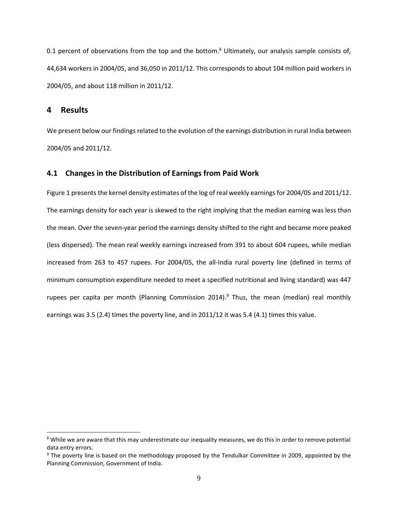0.1 percent of observations from the top and the bottom.<sup>8</sup> Ultimately, our analysis sample consists of, 44,634 workers in 2004/05, and 36,050 in 2011/12. This corresponds to about 104 million paid workers in 2004/05, and about 118 million in 2011/12.

#### **4 Results**

l

We present below our findings related to the evolution of the earnings distribution in rural India between 2004/05 and 2011/12.

#### **4.1 Changes in the Distribution of Earnings from Paid Work**

Figure 1 presents the kernel density estimates of the log of real weekly earnings for 2004/05 and 2011/12. The earnings density for each year is skewed to the right implying that the median earning was less than the mean. Over the seven-year period the earnings density shifted to the right and became more peaked (less dispersed). The mean real weekly earnings increased from 391 to about 604 rupees, while median increased from 263 to 457 rupees. For 2004/05, the all-India rural poverty line (defined in terms of minimum consumption expenditure needed to meet a specified nutritional and living standard) was 447 rupees per capita per month (Planning Commission 2014).<sup>9</sup> Thus, the mean (median) real monthly earnings was 3.5 (2.4) times the poverty line, and in 2011/12 it was 5.4 (4.1) times this value.

<sup>&</sup>lt;sup>8</sup> While we are aware that this may underestimate our inequality measures, we do this in order to remove potential data entry errors.

<sup>&</sup>lt;sup>9</sup> The poverty line is based on the methodology proposed by the Tendulkar Committee in 2009, appointed by the Planning Commission, Government of India.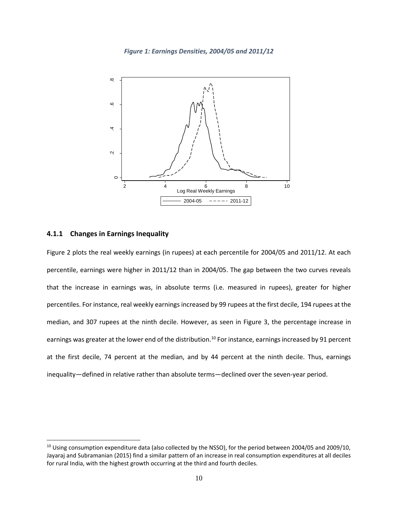*Figure 1: Earnings Densities, 2004/05 and 2011/12*



#### **4.1.1 Changes in Earnings Inequality**

 $\overline{a}$ 

Figure 2 plots the real weekly earnings (in rupees) at each percentile for 2004/05 and 2011/12. At each percentile, earnings were higher in 2011/12 than in 2004/05. The gap between the two curves reveals that the increase in earnings was, in absolute terms (i.e. measured in rupees), greater for higher percentiles. For instance, real weekly earnings increased by 99 rupees at the first decile, 194 rupees at the median, and 307 rupees at the ninth decile. However, as seen in Figure 3, the percentage increase in earnings was greater at the lower end of the distribution.<sup>10</sup> For instance, earnings increased by 91 percent at the first decile, 74 percent at the median, and by 44 percent at the ninth decile. Thus, earnings inequality―defined in relative rather than absolute terms―declined over the seven-year period.

<sup>&</sup>lt;sup>10</sup> Using consumption expenditure data (also collected by the NSSO), for the period between 2004/05 and 2009/10, Jayaraj and Subramanian (2015) find a similar pattern of an increase in real consumption expenditures at all deciles for rural India, with the highest growth occurring at the third and fourth deciles.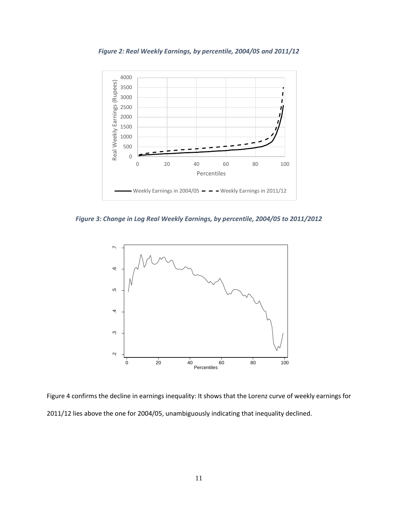



*Figure 3: Change in Log Real Weekly Earnings, by percentile, 2004/05 to 2011/2012*



Figure 4 confirms the decline in earnings inequality: It shows that the Lorenz curve of weekly earnings for 2011/12 lies above the one for 2004/05, unambiguously indicating that inequality declined.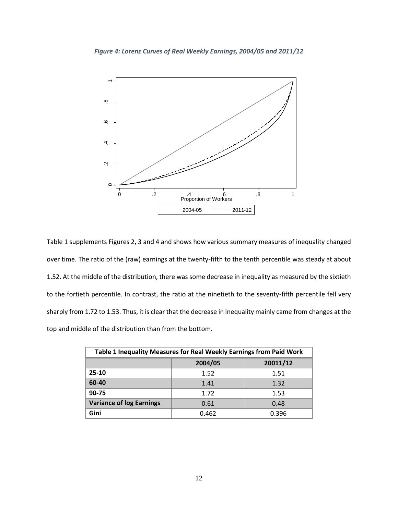

Table 1 supplements Figures 2, 3 and 4 and shows how various summary measures of inequality changed over time. The ratio of the (raw) earnings at the twenty-fifth to the tenth percentile was steady at about 1.52. At the middle of the distribution, there was some decrease in inequality as measured by the sixtieth to the fortieth percentile. In contrast, the ratio at the ninetieth to the seventy-fifth percentile fell very sharply from 1.72 to 1.53. Thus, it is clear that the decrease in inequality mainly came from changes at the top and middle of the distribution than from the bottom.

| Table 1 Inequality Measures for Real Weekly Earnings from Paid Work |         |          |  |
|---------------------------------------------------------------------|---------|----------|--|
|                                                                     | 2004/05 | 20011/12 |  |
| $25-10$                                                             | 1.52    | 1.51     |  |
| 60-40                                                               | 1.41    | 1.32     |  |
| 90-75                                                               | 1.72    | 1.53     |  |
| <b>Variance of log Earnings</b>                                     | 0.61    | 0.48     |  |
| Gini                                                                | 0.462   | 0.396    |  |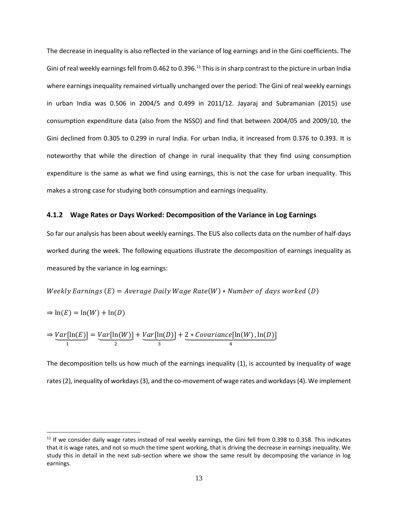The decrease in inequality is also reflected in the variance of log earnings and in the Gini coefficients. The Gini of real weekly earnings fell from 0.462 to 0.396.<sup>11</sup> This is in sharp contrast to the picture in urban India where earnings inequality remained virtually unchanged over the period: The Gini of real weekly earnings in urban India was 0.506 in 2004/5 and 0.499 in 2011/12. Jayaraj and Subramanian (2015) use consumption expenditure data (also from the NSSO) and find that between 2004/05 and 2009/10, the Gini declined from 0.305 to 0.299 in rural India. For urban India, it increased from 0.376 to 0.393. It is noteworthy that while the direction of change in rural inequality that they find using consumption expenditure is the same as what we find using earnings, this is not the case for urban inequality. This makes a strong case for studying both consumption and earnings inequality.

#### **4.1.2 Wage Rates or Days Worked: Decomposition of the Variance in Log Earnings**

So far our analysis has been about weekly earnings. The EUS also collects data on the number of half-days worked during the week. The following equations illustrate the decomposition of earnings inequality as measured by the variance in log earnings:

Weekly Earnings  $(E)$  = Average Daily Wage Rate(W)  $*$  Number of days worked (D)

$$
\Rightarrow \ln(E) = \ln(W) + \ln(D)
$$

l

$$
\Rightarrow \underbrace{Var[\ln(E)]}_{1} = \underbrace{Var[\ln(W)]}_{2} + \underbrace{Var[\ln(D)]}_{3} + \underbrace{2 * Covariance[\ln(W), \ln(D)]}_{4}
$$

The decomposition tells us how much of the earnings inequality (1), is accounted by inequality of wage rates (2), inequality of workdays(3), and the co-movement of wage rates and workdays(4). We implement

 $11$  If we consider daily wage rates instead of real weekly earnings, the Gini fell from 0.398 to 0.358. This indicates that it is wage rates, and not so much the time spent working, that is driving the decrease in earnings inequality. We study this in detail in the next sub-section where we show the same result by decomposing the variance in log earnings.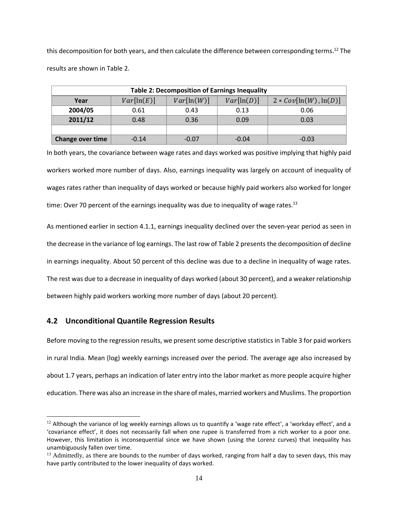this decomposition for both years, and then calculate the difference between corresponding terms. <sup>12</sup> The results are shown in Table 2.

| <b>Table 2: Decomposition of Earnings Inequality</b> |            |            |            |                         |
|------------------------------------------------------|------------|------------|------------|-------------------------|
| Year                                                 | Var[ln(E)] | Var[ln(W)] | Var[ln(D)] | $2 * Cov[ln(W), ln(D)]$ |
| 2004/05                                              | 0.61       | 0.43       | 0.13       | 0.06                    |
| 2011/12                                              | 0.48       | 0.36       | 0.09       | 0.03                    |
|                                                      |            |            |            |                         |
| <b>Change over time</b>                              | $-0.14$    | $-0.07$    | $-0.04$    | $-0.03$                 |

In both years, the covariance between wage rates and days worked was positive implying that highly paid workers worked more number of days. Also, earnings inequality was largely on account of inequality of wages rates rather than inequality of days worked or because highly paid workers also worked for longer time: Over 70 percent of the earnings inequality was due to inequality of wage rates.<sup>13</sup>

As mentioned earlier in section 4.1.1, earnings inequality declined over the seven-year period as seen in the decrease in the variance of log earnings. The last row of Table 2 presents the decomposition of decline in earnings inequality. About 50 percent of this decline was due to a decline in inequality of wage rates. The rest was due to a decrease in inequality of days worked (about 30 percent), and a weaker relationship between highly paid workers working more number of days (about 20 percent).

#### **4.2 Unconditional Quantile Regression Results**

l

Before moving to the regression results, we present some descriptive statistics in Table 3 for paid workers in rural India. Mean (log) weekly earnings increased over the period. The average age also increased by about 1.7 years, perhaps an indication of later entry into the labor market as more people acquire higher education. There was also an increase in the share of males, married workers and Muslims. The proportion

 $12$  Although the variance of log weekly earnings allows us to quantify a 'wage rate effect', a 'workday effect', and a 'covariance effect', it does not necessarily fall when one rupee is transferred from a rich worker to a poor one. However, this limitation is inconsequential since we have shown (using the Lorenz curves) that inequality has unambiguously fallen over time.

 $<sup>13</sup>$  Admittedly, as there are bounds to the number of days worked, ranging from half a day to seven days, this may</sup> have partly contributed to the lower inequality of days worked.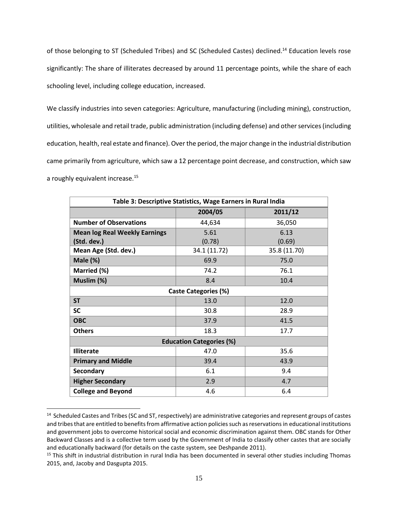of those belonging to ST (Scheduled Tribes) and SC (Scheduled Castes) declined.<sup>14</sup> Education levels rose significantly: The share of illiterates decreased by around 11 percentage points, while the share of each schooling level, including college education, increased.

We classify industries into seven categories: Agriculture, manufacturing (including mining), construction, utilities, wholesale and retail trade, public administration (including defense) and other services (including education, health, real estate and finance). Over the period, the major change in the industrial distribution came primarily from agriculture, which saw a 12 percentage point decrease, and construction, which saw a roughly equivalent increase.<sup>15</sup>

| Table 3: Descriptive Statistics, Wage Earners in Rural India |              |              |  |  |
|--------------------------------------------------------------|--------------|--------------|--|--|
|                                                              | 2004/05      | 2011/12      |  |  |
| <b>Number of Observations</b>                                | 44,634       | 36,050       |  |  |
| <b>Mean log Real Weekly Earnings</b>                         | 5.61         | 6.13         |  |  |
| (Std. dev.)                                                  | (0.78)       | (0.69)       |  |  |
| Mean Age (Std. dev.)                                         | 34.1 (11.72) | 35.8 (11.70) |  |  |
| Male (%)                                                     | 69.9         | 75.0         |  |  |
| Married (%)                                                  | 74.2         | 76.1         |  |  |
| Muslim (%)                                                   | 8.4          | 10.4         |  |  |
| Caste Categories (%)                                         |              |              |  |  |
| <b>ST</b>                                                    | 12.0<br>13.0 |              |  |  |
| <b>SC</b>                                                    | 30.8         | 28.9         |  |  |
| <b>OBC</b>                                                   | 37.9         | 41.5         |  |  |
| <b>Others</b>                                                | 18.3         | 17.7         |  |  |
| <b>Education Categories (%)</b>                              |              |              |  |  |
| <b>Illiterate</b>                                            | 47.0         | 35.6         |  |  |
| <b>Primary and Middle</b>                                    | 39.4         | 43.9         |  |  |
| Secondary                                                    | 6.1          | 9.4          |  |  |
| <b>Higher Secondary</b>                                      | 2.9          | 4.7          |  |  |
| <b>College and Beyond</b>                                    | 4.6          | 6.4          |  |  |

<sup>&</sup>lt;sup>14</sup> Scheduled Castes and Tribes (SC and ST, respectively) are administrative categories and represent groups of castes and tribes that are entitled to benefits from affirmative action policies such as reservations in educational institutions and government jobs to overcome historical social and economic discrimination against them. OBC stands for Other Backward Classes and is a collective term used by the Government of India to classify other castes that are socially and educationally backward (for details on the caste system, see Deshpande 2011).

l

 $15$  This shift in industrial distribution in rural India has been documented in several other studies including Thomas 2015, and, Jacoby and Dasgupta 2015.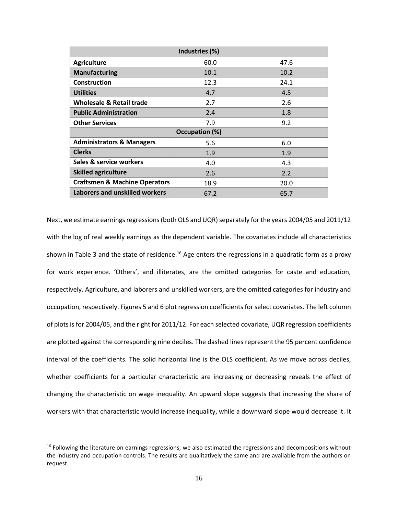| Industries (%)                           |      |      |  |  |
|------------------------------------------|------|------|--|--|
| <b>Agriculture</b>                       | 60.0 | 47.6 |  |  |
| <b>Manufacturing</b>                     | 10.1 | 10.2 |  |  |
| Construction                             | 12.3 | 24.1 |  |  |
| <b>Utilities</b>                         | 4.7  | 4.5  |  |  |
| Wholesale & Retail trade                 | 2.7  | 2.6  |  |  |
| <b>Public Administration</b>             | 2.4  | 1.8  |  |  |
| <b>Other Services</b>                    | 7.9  | 9.2  |  |  |
| Occupation (%)                           |      |      |  |  |
| <b>Administrators &amp; Managers</b>     | 5.6  | 6.0  |  |  |
| <b>Clerks</b>                            | 1.9  | 1.9  |  |  |
| Sales & service workers                  | 4.0  | 4.3  |  |  |
| <b>Skilled agriculture</b>               | 2.6  | 2.2  |  |  |
| <b>Craftsmen &amp; Machine Operators</b> | 18.9 | 20.0 |  |  |
| Laborers and unskilled workers           | 67.2 | 65.7 |  |  |

Next, we estimate earnings regressions (both OLS and UQR) separately for the years 2004/05 and 2011/12 with the log of real weekly earnings as the dependent variable. The covariates include all characteristics shown in Table 3 and the state of residence.<sup>16</sup> Age enters the regressions in a quadratic form as a proxy for work experience. 'Others', and illiterates, are the omitted categories for caste and education, respectively. Agriculture, and laborers and unskilled workers, are the omitted categories for industry and occupation, respectively. Figures 5 and 6 plot regression coefficients for select covariates. The left column of plots is for 2004/05, and the right for 2011/12. For each selected covariate, UQR regression coefficients are plotted against the corresponding nine deciles. The dashed lines represent the 95 percent confidence interval of the coefficients. The solid horizontal line is the OLS coefficient. As we move across deciles, whether coefficients for a particular characteristic are increasing or decreasing reveals the effect of changing the characteristic on wage inequality. An upward slope suggests that increasing the share of workers with that characteristic would increase inequality, while a downward slope would decrease it. It

 $\overline{a}$ 

 $16$  Following the literature on earnings regressions, we also estimated the regressions and decompositions without the industry and occupation controls. The results are qualitatively the same and are available from the authors on request.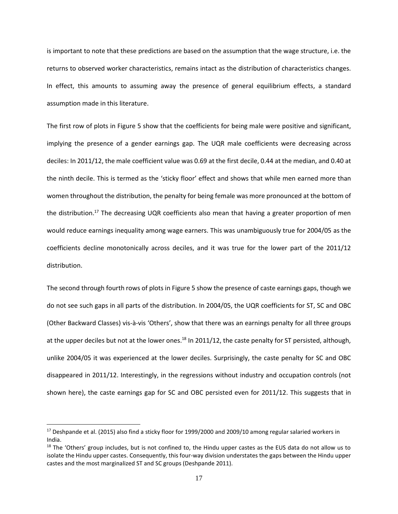is important to note that these predictions are based on the assumption that the wage structure, i.e. the returns to observed worker characteristics, remains intact as the distribution of characteristics changes. In effect, this amounts to assuming away the presence of general equilibrium effects, a standard assumption made in this literature.

The first row of plots in Figure 5 show that the coefficients for being male were positive and significant, implying the presence of a gender earnings gap. The UQR male coefficients were decreasing across deciles: In 2011/12, the male coefficient value was 0.69 at the first decile, 0.44 at the median, and 0.40 at the ninth decile. This is termed as the 'sticky floor' effect and shows that while men earned more than women throughout the distribution, the penalty for being female was more pronounced at the bottom of the distribution.<sup>17</sup> The decreasing UQR coefficients also mean that having a greater proportion of men would reduce earnings inequality among wage earners. This was unambiguously true for 2004/05 as the coefficients decline monotonically across deciles, and it was true for the lower part of the 2011/12 distribution.

The second through fourth rows of plots in Figure 5 show the presence of caste earnings gaps, though we do not see such gaps in all parts of the distribution. In 2004/05, the UQR coefficients for ST, SC and OBC (Other Backward Classes) vis-à-vis 'Others', show that there was an earnings penalty for all three groups at the upper deciles but not at the lower ones.<sup>18</sup> In 2011/12, the caste penalty for ST persisted, although, unlike 2004/05 it was experienced at the lower deciles. Surprisingly, the caste penalty for SC and OBC disappeared in 2011/12. Interestingly, in the regressions without industry and occupation controls (not shown here), the caste earnings gap for SC and OBC persisted even for 2011/12. This suggests that in

 $\overline{a}$ 

 $17$  Deshpande et al. (2015) also find a sticky floor for 1999/2000 and 2009/10 among regular salaried workers in India.

 $18$  The 'Others' group includes, but is not confined to, the Hindu upper castes as the EUS data do not allow us to isolate the Hindu upper castes. Consequently, this four-way division understates the gaps between the Hindu upper castes and the most marginalized ST and SC groups (Deshpande 2011).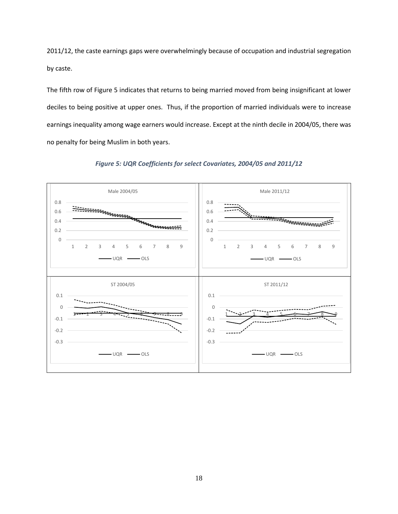2011/12, the caste earnings gaps were overwhelmingly because of occupation and industrial segregation by caste.

The fifth row of Figure 5 indicates that returns to being married moved from being insignificant at lower deciles to being positive at upper ones. Thus, if the proportion of married individuals were to increase earnings inequality among wage earners would increase. Except at the ninth decile in 2004/05, there was no penalty for being Muslim in both years.



*Figure 5: UQR Coefficients for select Covariates, 2004/05 and 2011/12*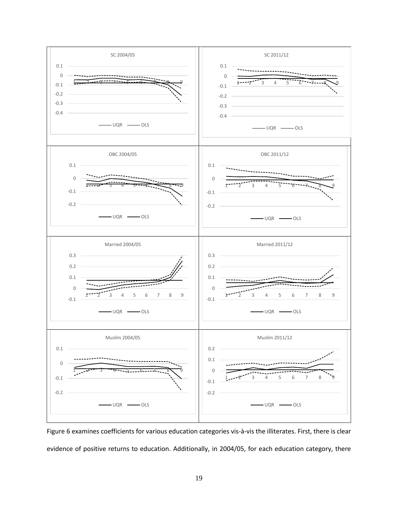

Figure 6 examines coefficients for various education categories vis-à-vis the illiterates. First, there is clear evidence of positive returns to education. Additionally, in 2004/05, for each education category, there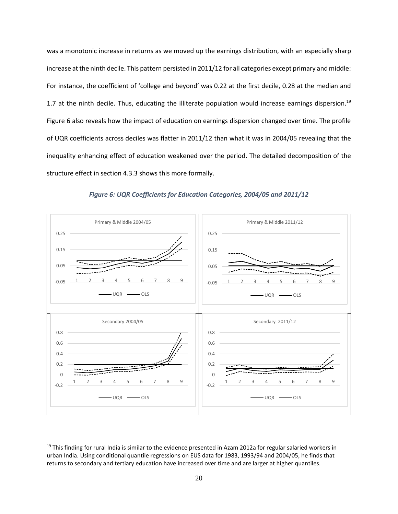was a monotonic increase in returns as we moved up the earnings distribution, with an especially sharp increase at the ninth decile. This pattern persisted in 2011/12 for all categories except primary and middle: For instance, the coefficient of 'college and beyond' was 0.22 at the first decile, 0.28 at the median and 1.7 at the ninth decile. Thus, educating the illiterate population would increase earnings dispersion.<sup>19</sup> Figure 6 also reveals how the impact of education on earnings dispersion changed over time. The profile of UQR coefficients across deciles was flatter in 2011/12 than what it was in 2004/05 revealing that the inequality enhancing effect of education weakened over the period. The detailed decomposition of the structure effect in section 4.3.3 shows this more formally.



*Figure 6: UQR Coefficients for Education Categories, 2004/05 and 2011/12*

 $\overline{a}$ 

 $19$  This finding for rural India is similar to the evidence presented in Azam 2012a for regular salaried workers in urban India. Using conditional quantile regressions on EUS data for 1983, 1993/94 and 2004/05, he finds that returns to secondary and tertiary education have increased over time and are larger at higher quantiles.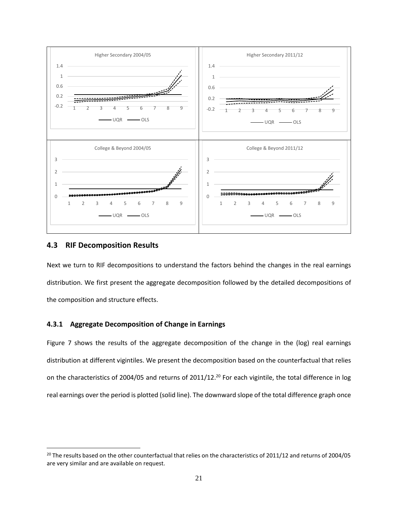

#### **4.3 RIF Decomposition Results**

l

Next we turn to RIF decompositions to understand the factors behind the changes in the real earnings distribution. We first present the aggregate decomposition followed by the detailed decompositions of the composition and structure effects.

#### **4.3.1 Aggregate Decomposition of Change in Earnings**

Figure 7 shows the results of the aggregate decomposition of the change in the (log) real earnings distribution at different vigintiles. We present the decomposition based on the counterfactual that relies on the characteristics of 2004/05 and returns of 2011/12.<sup>20</sup> For each vigintile, the total difference in log real earnings over the period is plotted (solid line). The downward slope of the total difference graph once

<sup>&</sup>lt;sup>20</sup> The results based on the other counterfactual that relies on the characteristics of 2011/12 and returns of 2004/05 are very similar and are available on request.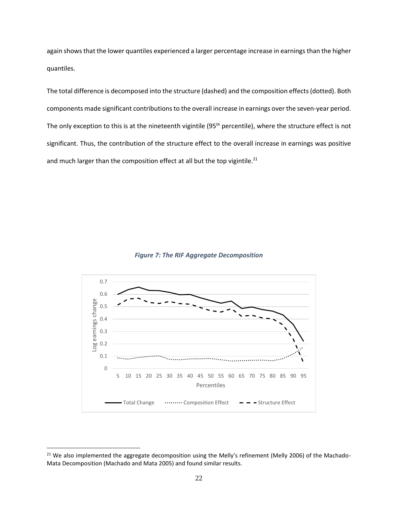again shows that the lower quantiles experienced a larger percentage increase in earnings than the higher quantiles.

The total difference is decomposed into the structure (dashed) and the composition effects(dotted). Both components made significant contributions to the overall increase in earnings over the seven-year period. The only exception to this is at the nineteenth vigintile (95<sup>th</sup> percentile), where the structure effect is not significant. Thus, the contribution of the structure effect to the overall increase in earnings was positive and much larger than the composition effect at all but the top vigintile.<sup>21</sup>





l

<sup>&</sup>lt;sup>21</sup> We also implemented the aggregate decomposition using the Melly's refinement (Melly 2006) of the Machado-Mata Decomposition (Machado and Mata 2005) and found similar results.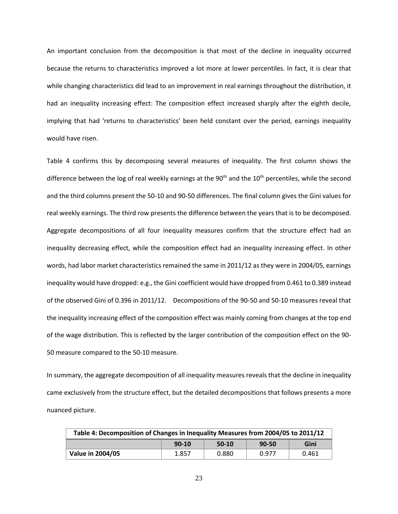An important conclusion from the decomposition is that most of the decline in inequality occurred because the returns to characteristics improved a lot more at lower percentiles. In fact, it is clear that while changing characteristics did lead to an improvement in real earnings throughout the distribution, it had an inequality increasing effect: The composition effect increased sharply after the eighth decile, implying that had 'returns to characteristics' been held constant over the period, earnings inequality would have risen.

Table 4 confirms this by decomposing several measures of inequality. The first column shows the difference between the log of real weekly earnings at the 90<sup>th</sup> and the 10<sup>th</sup> percentiles, while the second and the third columns present the 50-10 and 90-50 differences. The final column gives the Gini values for real weekly earnings. The third row presents the difference between the years that is to be decomposed. Aggregate decompositions of all four inequality measures confirm that the structure effect had an inequality decreasing effect, while the composition effect had an inequality increasing effect. In other words, had labor market characteristics remained the same in 2011/12 as they were in 2004/05, earnings inequality would have dropped: e.g., the Gini coefficient would have dropped from 0.461 to 0.389 instead of the observed Gini of 0.396 in 2011/12. Decompositions of the 90-50 and 50-10 measures reveal that the inequality increasing effect of the composition effect was mainly coming from changes at the top end of the wage distribution. This is reflected by the larger contribution of the composition effect on the 90- 50 measure compared to the 50-10 measure.

In summary, the aggregate decomposition of all inequality measures reveals that the decline in inequality came exclusively from the structure effect, but the detailed decompositions that follows presents a more nuanced picture.

| Table 4: Decomposition of Changes in Inequality Measures from 2004/05 to 2011/12 |         |         |           |       |
|----------------------------------------------------------------------------------|---------|---------|-----------|-------|
|                                                                                  | $90-10$ | $50-10$ | $90 - 50$ | Gini  |
| <b>Value in 2004/05</b>                                                          | 1.857   | 0.880   | 0.977     | 0.461 |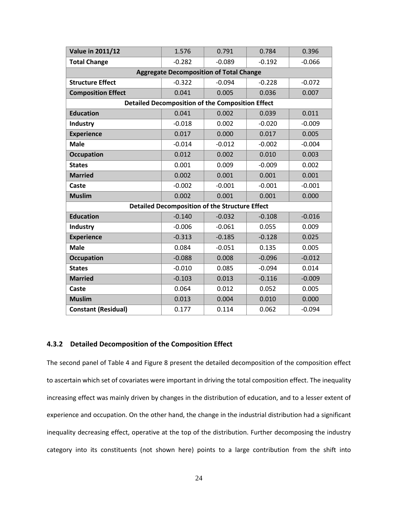| <b>Value in 2011/12</b>    | 1.576    | 0.791                                                   | 0.784    | 0.396    |
|----------------------------|----------|---------------------------------------------------------|----------|----------|
| <b>Total Change</b>        | $-0.282$ | $-0.089$                                                | $-0.192$ | $-0.066$ |
|                            |          | <b>Aggregate Decomposition of Total Change</b>          |          |          |
| <b>Structure Effect</b>    | $-0.322$ | $-0.094$                                                | $-0.228$ | $-0.072$ |
| <b>Composition Effect</b>  | 0.041    | 0.005                                                   | 0.036    | 0.007    |
|                            |          | <b>Detailed Decomposition of the Composition Effect</b> |          |          |
| <b>Education</b>           | 0.041    | 0.002                                                   | 0.039    | 0.011    |
| <b>Industry</b>            | $-0.018$ | 0.002                                                   | $-0.020$ | $-0.009$ |
| <b>Experience</b>          | 0.017    | 0.000                                                   | 0.017    | 0.005    |
| <b>Male</b>                | $-0.014$ | $-0.012$                                                | $-0.002$ | $-0.004$ |
| <b>Occupation</b>          | 0.012    | 0.002                                                   | 0.010    | 0.003    |
| <b>States</b>              | 0.001    | 0.009                                                   | $-0.009$ | 0.002    |
| <b>Married</b>             | 0.002    | 0.001                                                   | 0.001    | 0.001    |
| Caste                      | $-0.002$ | $-0.001$                                                | $-0.001$ | $-0.001$ |
| <b>Muslim</b>              | 0.002    | 0.001                                                   | 0.001    | 0.000    |
|                            |          | <b>Detailed Decomposition of the Structure Effect</b>   |          |          |
| <b>Education</b>           | $-0.140$ | $-0.032$                                                | $-0.108$ | $-0.016$ |
| <b>Industry</b>            | $-0.006$ | $-0.061$                                                | 0.055    | 0.009    |
| <b>Experience</b>          | $-0.313$ | $-0.185$                                                | $-0.128$ | 0.025    |
| <b>Male</b>                | 0.084    | $-0.051$                                                | 0.135    | 0.005    |
| <b>Occupation</b>          | $-0.088$ | 0.008                                                   | $-0.096$ | $-0.012$ |
| <b>States</b>              | $-0.010$ | 0.085                                                   | $-0.094$ | 0.014    |
| <b>Married</b>             | $-0.103$ | 0.013                                                   | $-0.116$ | $-0.009$ |
| Caste                      | 0.064    | 0.012                                                   | 0.052    | 0.005    |
| <b>Muslim</b>              | 0.013    | 0.004                                                   | 0.010    | 0.000    |
| <b>Constant (Residual)</b> | 0.177    | 0.114                                                   | 0.062    | $-0.094$ |

#### **4.3.2 Detailed Decomposition of the Composition Effect**

The second panel of Table 4 and Figure 8 present the detailed decomposition of the composition effect to ascertain which set of covariates were important in driving the total composition effect. The inequality increasing effect was mainly driven by changes in the distribution of education, and to a lesser extent of experience and occupation. On the other hand, the change in the industrial distribution had a significant inequality decreasing effect, operative at the top of the distribution. Further decomposing the industry category into its constituents (not shown here) points to a large contribution from the shift into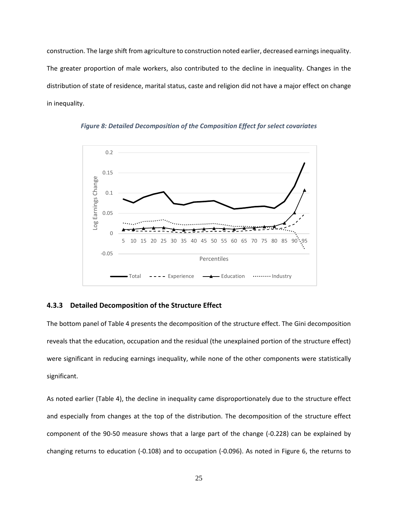construction. The large shift from agriculture to construction noted earlier, decreased earnings inequality. The greater proportion of male workers, also contributed to the decline in inequality. Changes in the distribution of state of residence, marital status, caste and religion did not have a major effect on change in inequality.





#### **4.3.3 Detailed Decomposition of the Structure Effect**

The bottom panel of Table 4 presents the decomposition of the structure effect. The Gini decomposition reveals that the education, occupation and the residual (the unexplained portion of the structure effect) were significant in reducing earnings inequality, while none of the other components were statistically significant.

As noted earlier (Table 4), the decline in inequality came disproportionately due to the structure effect and especially from changes at the top of the distribution. The decomposition of the structure effect component of the 90-50 measure shows that a large part of the change (-0.228) can be explained by changing returns to education (-0.108) and to occupation (-0.096). As noted in Figure 6, the returns to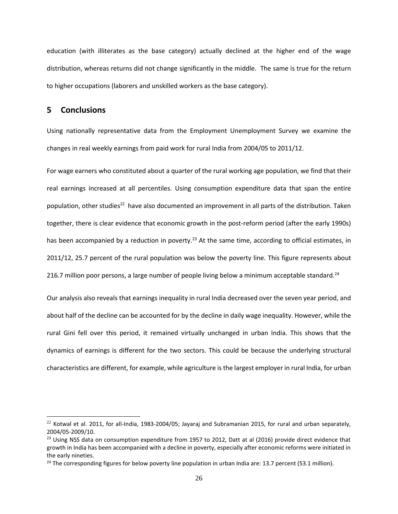education (with illiterates as the base category) actually declined at the higher end of the wage distribution, whereas returns did not change significantly in the middle. The same is true for the return to higher occupations (laborers and unskilled workers as the base category).

#### **5 Conclusions**

l

Using nationally representative data from the Employment Unemployment Survey we examine the changes in real weekly earnings from paid work for rural India from 2004/05 to 2011/12.

For wage earners who constituted about a quarter of the rural working age population, we find that their real earnings increased at all percentiles. Using consumption expenditure data that span the entire population, other studies<sup>22</sup> have also documented an improvement in all parts of the distribution. Taken together, there is clear evidence that economic growth in the post-reform period (after the early 1990s) has been accompanied by a reduction in poverty.<sup>23</sup> At the same time, according to official estimates, in 2011/12, 25.7 percent of the rural population was below the poverty line. This figure represents about 216.7 million poor persons, a large number of people living below a minimum acceptable standard.<sup>24</sup>

Our analysis also reveals that earnings inequality in rural India decreased over the seven year period, and about half of the decline can be accounted for by the decline in daily wage inequality. However, while the rural Gini fell over this period, it remained virtually unchanged in urban India. This shows that the dynamics of earnings is different for the two sectors. This could be because the underlying structural characteristics are different, for example, while agriculture is the largest employer in rural India, for urban

 $22$  Kotwal et al. 2011, for all-India, 1983-2004/05; Jayaraj and Subramanian 2015, for rural and urban separately, 2004/05-2009/10.

<sup>&</sup>lt;sup>23</sup> Using NSS data on consumption expenditure from 1957 to 2012, Datt at al (2016) provide direct evidence that growth in India has been accompanied with a decline in poverty, especially after economic reforms were initiated in the early nineties.

 $24$  The corresponding figures for below poverty line population in urban India are: 13.7 percent (53.1 million).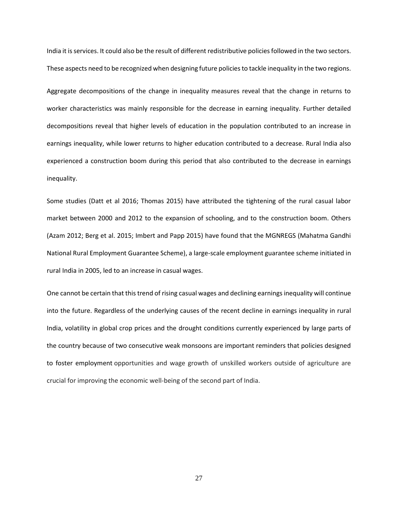India it is services. It could also be the result of different redistributive policies followed in the two sectors. These aspects need to be recognized when designing future policies to tackle inequality in the two regions.

Aggregate decompositions of the change in inequality measures reveal that the change in returns to worker characteristics was mainly responsible for the decrease in earning inequality. Further detailed decompositions reveal that higher levels of education in the population contributed to an increase in earnings inequality, while lower returns to higher education contributed to a decrease. Rural India also experienced a construction boom during this period that also contributed to the decrease in earnings inequality.

Some studies (Datt et al 2016; Thomas 2015) have attributed the tightening of the rural casual labor market between 2000 and 2012 to the expansion of schooling, and to the construction boom. Others (Azam 2012; Berg et al. 2015; Imbert and Papp 2015) have found that the MGNREGS (Mahatma Gandhi National Rural Employment Guarantee Scheme), a large-scale employment guarantee scheme initiated in rural India in 2005, led to an increase in casual wages.

One cannot be certain that this trend of rising casual wages and declining earnings inequality will continue into the future. Regardless of the underlying causes of the recent decline in earnings inequality in rural India, volatility in global crop prices and the drought conditions currently experienced by large parts of the country because of two consecutive weak monsoons are important reminders that policies designed to foster employment opportunities and wage growth of unskilled workers outside of agriculture are crucial for improving the economic well-being of the second part of India.

27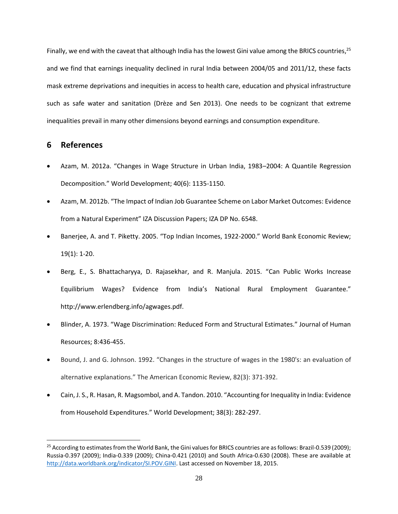Finally, we end with the caveat that although India has the lowest Gini value among the BRICS countries,<sup>25</sup> and we find that earnings inequality declined in rural India between 2004/05 and 2011/12, these facts mask extreme deprivations and inequities in access to health care, education and physical infrastructure such as safe water and sanitation (Drèze and Sen 2013). One needs to be cognizant that extreme inequalities prevail in many other dimensions beyond earnings and consumption expenditure.

#### **6 References**

 $\overline{a}$ 

- Azam, M. 2012a. "Changes in Wage Structure in Urban India, 1983–2004: A Quantile Regression Decomposition." World Development; 40(6): 1135-1150.
- Azam, M. 2012b. "The Impact of Indian Job Guarantee Scheme on Labor Market Outcomes: Evidence from a Natural Experiment" IZA Discussion Papers; IZA DP No. 6548.
- Banerjee, A. and T. Piketty. 2005. "Top Indian Incomes, 1922-2000." World Bank Economic Review; 19(1): 1-20.
- Berg, E., S. Bhattacharyya, D. Rajasekhar, and R. Manjula. 2015. "Can Public Works Increase Equilibrium Wages? Evidence from India's National Rural Employment Guarantee." http://www.erlendberg.info/agwages.pdf.
- Blinder, A. 1973. "Wage Discrimination: Reduced Form and Structural Estimates." Journal of Human Resources; 8:436-455.
- Bound, J. and G. Johnson. 1992. "Changes in the structure of wages in the 1980's: an evaluation of alternative explanations." The American Economic Review, 82(3): 371‐392.
- Cain, J. S., R. Hasan, R. Magsombol, and A. Tandon. 2010. "Accounting for Inequality in India: Evidence from Household Expenditures." World Development; 38(3): 282-297.

<sup>&</sup>lt;sup>25</sup> According to estimates from the World Bank, the Gini values for BRICS countries are as follows: Brazil-0.539 (2009); Russia-0.397 (2009); India-0.339 (2009); China-0.421 (2010) and South Africa-0.630 (2008). These are available at [http://data.worldbank.org/indicator/SI.POV.GINI.](http://data.worldbank.org/indicator/SI.POV.GINI) Last accessed on November 18, 2015.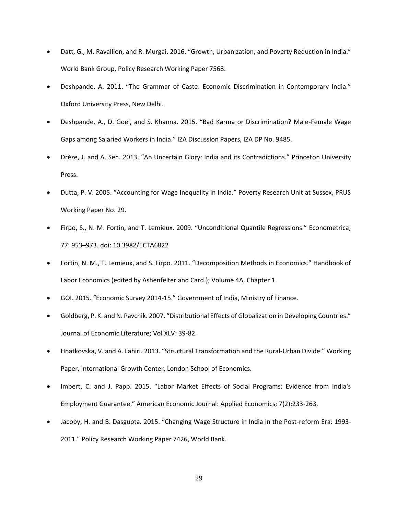- Datt, G., M. Ravallion, and R. Murgai. 2016. "Growth, Urbanization, and Poverty Reduction in India." World Bank Group, Policy Research Working Paper 7568.
- Deshpande, A. 2011. "The Grammar of Caste: Economic Discrimination in Contemporary India." Oxford University Press, New Delhi.
- Deshpande, A., D. Goel, and S. Khanna. 2015. "Bad Karma or Discrimination? Male-Female Wage Gaps among Salaried Workers in India." IZA Discussion Papers, IZA DP No. 9485.
- Drèze, J. and A. Sen. 2013. "An Uncertain Glory: India and its Contradictions." Princeton University Press.
- Dutta, P. V. 2005. "Accounting for Wage Inequality in India." Poverty Research Unit at Sussex, PRUS Working Paper No. 29.
- Firpo, S., N. M. Fortin, and T. Lemieux. 2009. "Unconditional Quantile Regressions." Econometrica; 77: 953–973. doi: 10.3982/ECTA6822
- Fortin, N. M., T. Lemieux, and S. Firpo. 2011. "Decomposition Methods in Economics." Handbook of Labor Economics (edited by Ashenfelter and Card.); Volume 4A, Chapter 1.
- GOI. 2015. "Economic Survey 2014-15." Government of India, Ministry of Finance.
- Goldberg, P. K. and N. Pavcnik. 2007. "Distributional Effects of Globalization in Developing Countries." Journal of Economic Literature; Vol XLV: 39-82.
- Hnatkovska, V. and A. Lahiri. 2013. "Structural Transformation and the Rural-Urban Divide." Working Paper, International Growth Center, London School of Economics.
- Imbert, C. and J. Papp. 2015. "Labor Market Effects of Social Programs: Evidence from India's Employment Guarantee." American Economic Journal: Applied Economics; 7(2):233-263.
- Jacoby, H. and B. Dasgupta. 2015. "Changing Wage Structure in India in the Post-reform Era: 1993- 2011." Policy Research Working Paper 7426, World Bank.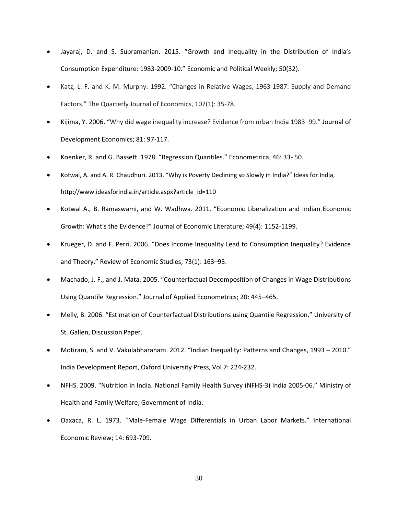- Jayaraj, D. and S. Subramanian. 2015. "Growth and Inequality in the Distribution of India's Consumption Expenditure: 1983-2009-10." Economic and Political Weekly; 50(32).
- Katz, L. F. and K. M. Murphy. 1992. "Changes in Relative Wages, 1963-1987: Supply and Demand Factors." The Quarterly Journal of Economics, 107(1): 35‐78.
- Kijima, Y. 2006. "Why did wage inequality increase? Evidence from urban India 1983–99." Journal of Development Economics; 81: 97-117.
- Koenker, R. and G. Bassett. 1978. "Regression Quantiles." Econometrica; 46: 33- 50.
- Kotwal, A. and A. R. Chaudhuri. 2013. "Why is Poverty Declining so Slowly in India?" Ideas for India, http://www.ideasforindia.in/article.aspx?article\_id=110
- Kotwal A., B. Ramaswami, and W. Wadhwa. 2011. "Economic Liberalization and Indian Economic Growth: What's the Evidence?" Journal of Economic Literature; 49(4): 1152-1199.
- Krueger, D. and F. Perri. 2006. "Does Income Inequality Lead to Consumption Inequality? Evidence and Theory." Review of Economic Studies; 73(1): 163–93.
- Machado, J. F., and J. Mata. 2005. "Counterfactual Decomposition of Changes in Wage Distributions Using Quantile Regression." Journal of Applied Econometrics; 20: 445–465.
- Melly, B. 2006. "Estimation of Counterfactual Distributions using Quantile Regression." University of St. Gallen, Discussion Paper.
- Motiram, S. and V. Vakulabharanam. 2012. "Indian Inequality: Patterns and Changes, 1993 2010." India Development Report, Oxford University Press, Vol 7: 224-232.
- NFHS. 2009. "Nutrition in India. National Family Health Survey (NFHS-3) India 2005-06." Ministry of Health and Family Welfare, Government of India.
- Oaxaca, R. L. 1973. "Male-Female Wage Differentials in Urban Labor Markets." International Economic Review; 14: 693-709.